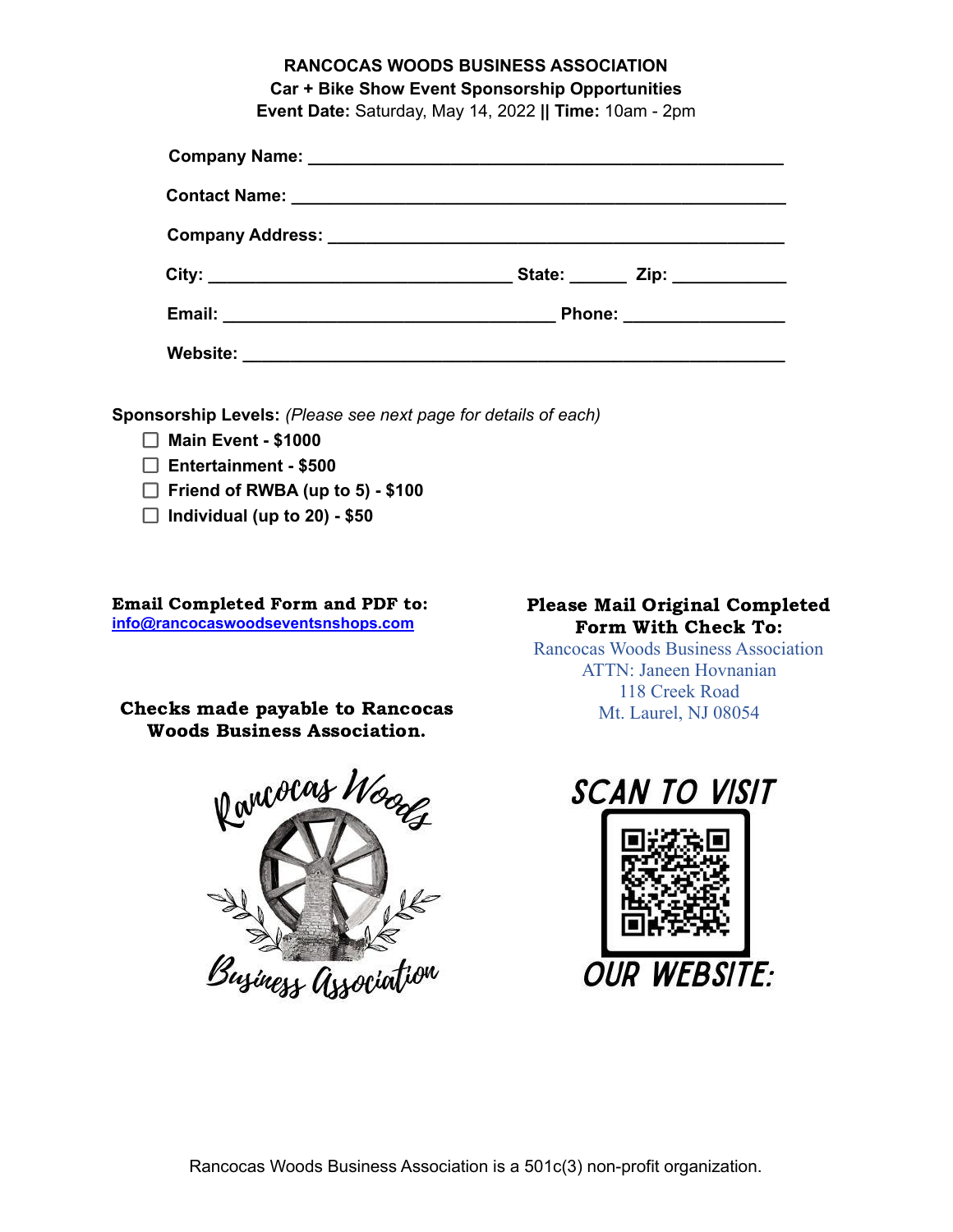# **RANCOCAS WOODS BUSINESS ASSOCIATION Car + Bike Show Event Sponsorship Opportunities**

**Event Date:** Saturday, May 14, 2022 **|| Time:** 10am - 2pm

|                                                                                                                                  | State: _______ Zip: ____________ |
|----------------------------------------------------------------------------------------------------------------------------------|----------------------------------|
|                                                                                                                                  | Phone: __________________        |
| Website:<br><u> 2000 - 2000 - 2000 - 2000 - 2000 - 2000 - 2000 - 2000 - 2000 - 2000 - 2000 - 2000 - 2000 - 2000 - 2000 - 200</u> |                                  |

**Sponsorship Levels:** *(Please see next page for details of each)*

- **Main Event - \$1000**
- **Entertainment - \$500**
- **Friend of RWBA (up to 5) - \$100**
- **Individual (up to 20) - \$50**

Email Completed Form and PDF to: **inf[o@rancocaswoodseventsnshops.com](mailto:events@rancocaswoodseventsnshops.com)**

Checks made payable to Rancocas Woods Business Association.



# Please Mail Original Completed Form With Check To:

Rancocas Woods Business Association ATTN: Janeen Hovnanian 118 Creek Road Mt. Laurel, NJ 08054